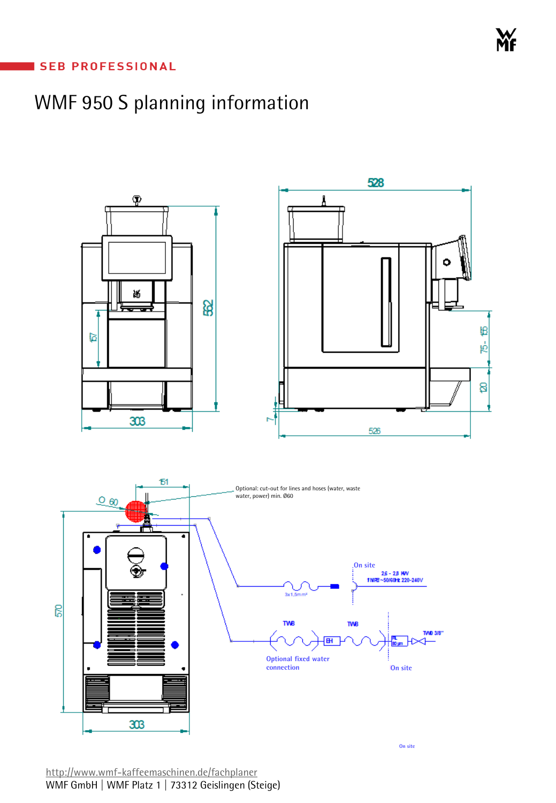### **SEB PROFESSIONAL**

# WMF 950 S planning information

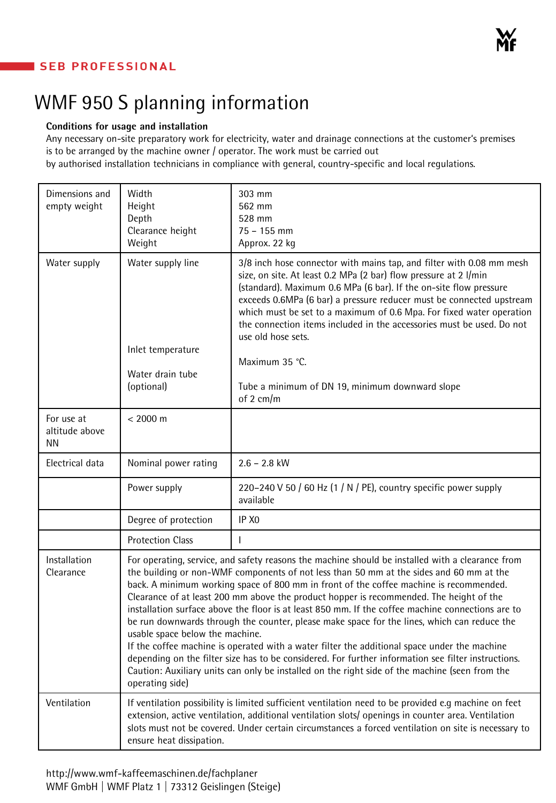## **SEB PROFESSIONAL**

## WMF 950 S planning information

#### **Conditions for usage and installation**

Any necessary on-site preparatory work for electricity, water and drainage connections at the customer's premises is to be arranged by the machine owner / operator. The work must be carried out

by authorised installation technicians in compliance with general, country-specific and local regulations.

| Dimensions and<br>empty weight            | Width<br>Height<br>Depth<br>Clearance height<br>Weight                                                                                                                                                                                                                                                                                                                                                                                                                                                                                                                                                                                                                                                                                                                                                                                                                                                                                              | 303 mm<br>562 mm<br>528 mm<br>$75 - 155$ mm<br>Approx. 22 kg                                                                                                                                                                                                                                                                                                                                                                                                                                                                                   |
|-------------------------------------------|-----------------------------------------------------------------------------------------------------------------------------------------------------------------------------------------------------------------------------------------------------------------------------------------------------------------------------------------------------------------------------------------------------------------------------------------------------------------------------------------------------------------------------------------------------------------------------------------------------------------------------------------------------------------------------------------------------------------------------------------------------------------------------------------------------------------------------------------------------------------------------------------------------------------------------------------------------|------------------------------------------------------------------------------------------------------------------------------------------------------------------------------------------------------------------------------------------------------------------------------------------------------------------------------------------------------------------------------------------------------------------------------------------------------------------------------------------------------------------------------------------------|
| Water supply                              | Water supply line<br>Inlet temperature<br>Water drain tube<br>(optional)                                                                                                                                                                                                                                                                                                                                                                                                                                                                                                                                                                                                                                                                                                                                                                                                                                                                            | 3/8 inch hose connector with mains tap, and filter with 0.08 mm mesh<br>size, on site. At least 0.2 MPa (2 bar) flow pressure at 2 l/min<br>(standard). Maximum 0.6 MPa (6 bar). If the on-site flow pressure<br>exceeds 0.6MPa (6 bar) a pressure reducer must be connected upstream<br>which must be set to a maximum of 0.6 Mpa. For fixed water operation<br>the connection items included in the accessories must be used. Do not<br>use old hose sets.<br>Maximum 35 °C.<br>Tube a minimum of DN 19, minimum downward slope<br>of 2 cm/m |
| For use at<br>altitude above<br><b>NN</b> | $< 2000 \text{ m}$                                                                                                                                                                                                                                                                                                                                                                                                                                                                                                                                                                                                                                                                                                                                                                                                                                                                                                                                  |                                                                                                                                                                                                                                                                                                                                                                                                                                                                                                                                                |
| Electrical data                           | Nominal power rating                                                                                                                                                                                                                                                                                                                                                                                                                                                                                                                                                                                                                                                                                                                                                                                                                                                                                                                                | $2.6 - 2.8$ kW                                                                                                                                                                                                                                                                                                                                                                                                                                                                                                                                 |
|                                           | Power supply                                                                                                                                                                                                                                                                                                                                                                                                                                                                                                                                                                                                                                                                                                                                                                                                                                                                                                                                        | 220-240 V 50 / 60 Hz (1 / N / PE), country specific power supply<br>available                                                                                                                                                                                                                                                                                                                                                                                                                                                                  |
|                                           | Degree of protection                                                                                                                                                                                                                                                                                                                                                                                                                                                                                                                                                                                                                                                                                                                                                                                                                                                                                                                                | IP X <sub>0</sub>                                                                                                                                                                                                                                                                                                                                                                                                                                                                                                                              |
|                                           | <b>Protection Class</b>                                                                                                                                                                                                                                                                                                                                                                                                                                                                                                                                                                                                                                                                                                                                                                                                                                                                                                                             |                                                                                                                                                                                                                                                                                                                                                                                                                                                                                                                                                |
| Installation<br>Clearance                 | For operating, service, and safety reasons the machine should be installed with a clearance from<br>the building or non-WMF components of not less than 50 mm at the sides and 60 mm at the<br>back. A minimum working space of 800 mm in front of the coffee machine is recommended.<br>Clearance of at least 200 mm above the product hopper is recommended. The height of the<br>installation surface above the floor is at least 850 mm. If the coffee machine connections are to<br>be run downwards through the counter, please make space for the lines, which can reduce the<br>usable space below the machine.<br>If the coffee machine is operated with a water filter the additional space under the machine<br>depending on the filter size has to be considered. For further information see filter instructions.<br>Caution: Auxiliary units can only be installed on the right side of the machine (seen from the<br>operating side) |                                                                                                                                                                                                                                                                                                                                                                                                                                                                                                                                                |
| Ventilation                               | If ventilation possibility is limited sufficient ventilation need to be provided e.g machine on feet<br>extension, active ventilation, additional ventilation slots/ openings in counter area. Ventilation<br>slots must not be covered. Under certain circumstances a forced ventilation on site is necessary to<br>ensure heat dissipation.                                                                                                                                                                                                                                                                                                                                                                                                                                                                                                                                                                                                       |                                                                                                                                                                                                                                                                                                                                                                                                                                                                                                                                                |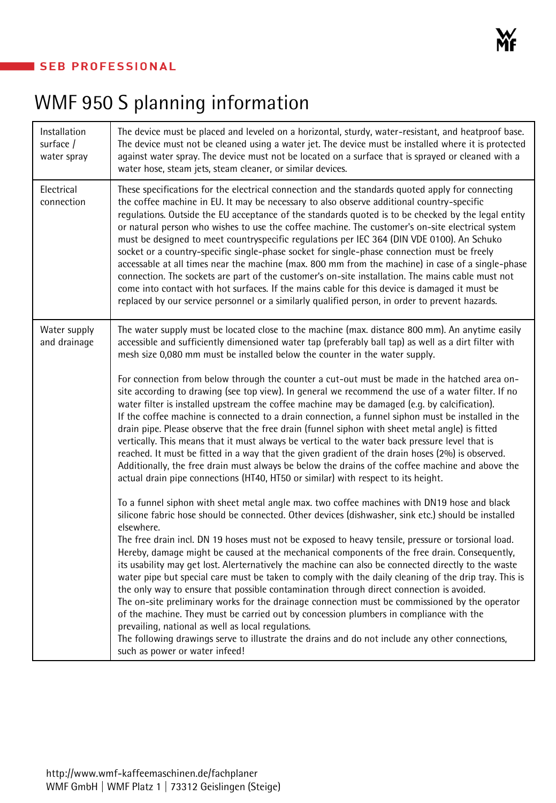## **SEB PROFESSIONAL**

# WMF 950 S planning information

| Installation<br>surface /<br>water spray | The device must be placed and leveled on a horizontal, sturdy, water-resistant, and heatproof base.<br>The device must not be cleaned using a water jet. The device must be installed where it is protected<br>against water spray. The device must not be located on a surface that is sprayed or cleaned with a<br>water hose, steam jets, steam cleaner, or similar devices.                                                                                                                                                                                                                                                                                                                                                                                                                                                                                                                                                                                                                                                                                                                                                                                                                                                                                                                                                                                                                                                                                                                                                                                                                                                                                                                                                                                                                                                                                                                                                                                                                                                                                                                                                                                                                                                                                                                                                      |  |
|------------------------------------------|--------------------------------------------------------------------------------------------------------------------------------------------------------------------------------------------------------------------------------------------------------------------------------------------------------------------------------------------------------------------------------------------------------------------------------------------------------------------------------------------------------------------------------------------------------------------------------------------------------------------------------------------------------------------------------------------------------------------------------------------------------------------------------------------------------------------------------------------------------------------------------------------------------------------------------------------------------------------------------------------------------------------------------------------------------------------------------------------------------------------------------------------------------------------------------------------------------------------------------------------------------------------------------------------------------------------------------------------------------------------------------------------------------------------------------------------------------------------------------------------------------------------------------------------------------------------------------------------------------------------------------------------------------------------------------------------------------------------------------------------------------------------------------------------------------------------------------------------------------------------------------------------------------------------------------------------------------------------------------------------------------------------------------------------------------------------------------------------------------------------------------------------------------------------------------------------------------------------------------------------------------------------------------------------------------------------------------------|--|
| Electrical<br>connection                 | These specifications for the electrical connection and the standards quoted apply for connecting<br>the coffee machine in EU. It may be necessary to also observe additional country-specific<br>regulations. Outside the EU acceptance of the standards quoted is to be checked by the legal entity<br>or natural person who wishes to use the coffee machine. The customer's on-site electrical system<br>must be designed to meet countryspecific regulations per IEC 364 (DIN VDE 0100). An Schuko<br>socket or a country-specific single-phase socket for single-phase connection must be freely<br>accessable at all times near the machine (max. 800 mm from the machine) in case of a single-phase<br>connection. The sockets are part of the customer's on-site installation. The mains cable must not<br>come into contact with hot surfaces. If the mains cable for this device is damaged it must be<br>replaced by our service personnel or a similarly qualified person, in order to prevent hazards.                                                                                                                                                                                                                                                                                                                                                                                                                                                                                                                                                                                                                                                                                                                                                                                                                                                                                                                                                                                                                                                                                                                                                                                                                                                                                                                  |  |
| Water supply<br>and drainage             | The water supply must be located close to the machine (max. distance 800 mm). An anytime easily<br>accessible and sufficiently dimensioned water tap (preferably ball tap) as well as a dirt filter with<br>mesh size 0,080 mm must be installed below the counter in the water supply.<br>For connection from below through the counter a cut-out must be made in the hatched area on-<br>site according to drawing (see top view). In general we recommend the use of a water filter. If no<br>water filter is installed upstream the coffee machine may be damaged (e.g. by calcification).<br>If the coffee machine is connected to a drain connection, a funnel siphon must be installed in the<br>drain pipe. Please observe that the free drain (funnel siphon with sheet metal angle) is fitted<br>vertically. This means that it must always be vertical to the water back pressure level that is<br>reached. It must be fitted in a way that the given gradient of the drain hoses (2%) is observed.<br>Additionally, the free drain must always be below the drains of the coffee machine and above the<br>actual drain pipe connections (HT40, HT50 or similar) with respect to its height.<br>To a funnel siphon with sheet metal angle max. two coffee machines with DN19 hose and black<br>silicone fabric hose should be connected. Other devices (dishwasher, sink etc.) should be installed<br>elsewhere.<br>The free drain incl. DN 19 hoses must not be exposed to heavy tensile, pressure or torsional load.<br>Hereby, damage might be caused at the mechanical components of the free drain. Consequently,<br>its usability may get lost. Alerternatively the machine can also be connected directly to the waste<br>water pipe but special care must be taken to comply with the daily cleaning of the drip tray. This is<br>the only way to ensure that possible contamination through direct connection is avoided.<br>The on-site preliminary works for the drainage connection must be commissioned by the operator<br>of the machine. They must be carried out by concession plumbers in compliance with the<br>prevailing, national as well as local regulations.<br>The following drawings serve to illustrate the drains and do not include any other connections,<br>such as power or water infeed! |  |